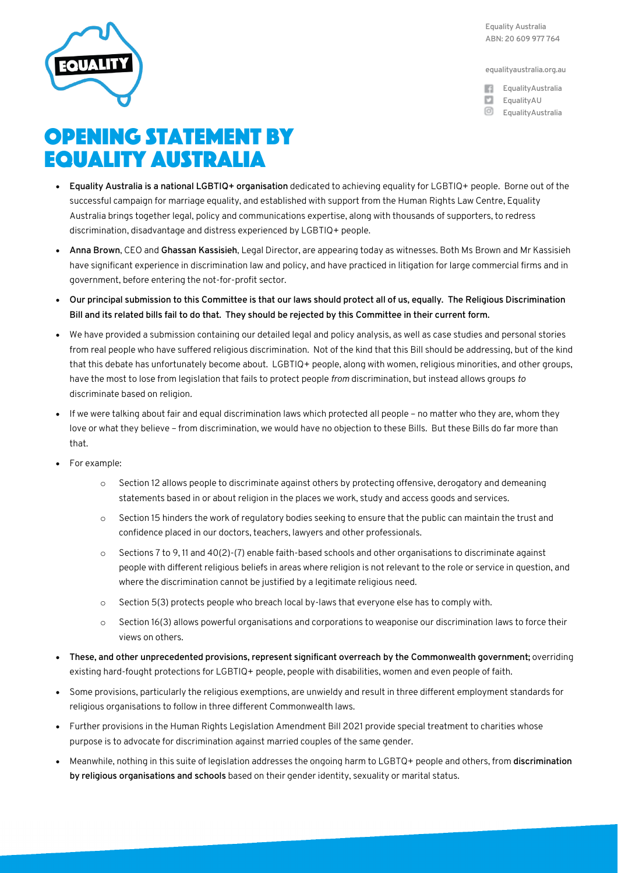**Equality Australia ABN: 20 609 977 764**

**equalityaustralia.org.au**

- **EqualityAustralia EqualityAU**
- **EqualityAustralia**

## OPENING STATEMENT BY EQUALITY AUSTRALIA

- **Equality Australia is a national LGBTIQ+ organisation** dedicated to achieving equality for LGBTIQ+ people. Borne out of the successful campaign for marriage equality, and established with support from the Human Rights Law Centre, Equality Australia brings together legal, policy and communications expertise, along with thousands of supporters, to redress discrimination, disadvantage and distress experienced by LGBTIQ+ people.
- **Anna Brown**, CEO and **Ghassan Kassisieh**, Legal Director, are appearing today as witnesses. Both Ms Brown and Mr Kassisieh have significant experience in discrimination law and policy, and have practiced in litigation for large commercial firms and in government, before entering the not-for-profit sector.
- **Our principal submission to this Committee is that our laws should protect all of us, equally. The Religious Discrimination Bill and its related bills fail to do that. They should be rejected by this Committee in their current form.**
- We have provided a submission containing our detailed legal and policy analysis, as well as case studies and personal stories from real people who have suffered religious discrimination. Not of the kind that this Bill should be addressing, but of the kind that this debate has unfortunately become about. LGBTIQ+ people, along with women, religious minorities, and other groups, have the most to lose from legislation that fails to protect people *from* discrimination, but instead allows groups *to*  discriminate based on religion*.*
- If we were talking about fair and equal discrimination laws which protected all people no matter who they are, whom they love or what they believe – from discrimination, we would have no objection to these Bills. But these Bills do far more than that.
- For example:
	- o Section 12 allows people to discriminate against others by protecting offensive, derogatory and demeaning statements based in or about religion in the places we work, study and access goods and services.
	- o Section 15 hinders the work of regulatory bodies seeking to ensure that the public can maintain the trust and confidence placed in our doctors, teachers, lawyers and other professionals.
	- o Sections 7 to 9, 11 and 40(2)-(7) enable faith-based schools and other organisations to discriminate against people with different religious beliefs in areas where religion is not relevant to the role or service in question, and where the discrimination cannot be justified by a legitimate religious need.
	- o Section 5(3) protects people who breach local by-laws that everyone else has to comply with.
	- o Section 16(3) allows powerful organisations and corporations to weaponise our discrimination laws to force their views on others.
- **These, and other unprecedented provisions, represent significant overreach by the Commonwealth government;** overriding existing hard-fought protections for LGBTIQ+ people, people with disabilities, women and even people of faith.
- Some provisions, particularly the religious exemptions, are unwieldy and result in three different employment standards for religious organisations to follow in three different Commonwealth laws.
- Further provisions in the Human Rights Legislation Amendment Bill 2021 provide special treatment to charities whose purpose is to advocate for discrimination against married couples of the same gender.
- Meanwhile, nothing in this suite of legislation addresses the ongoing harm to LGBTQ+ people and others, from **discrimination by religious organisations and schools** based on their gender identity, sexuality or marital status.